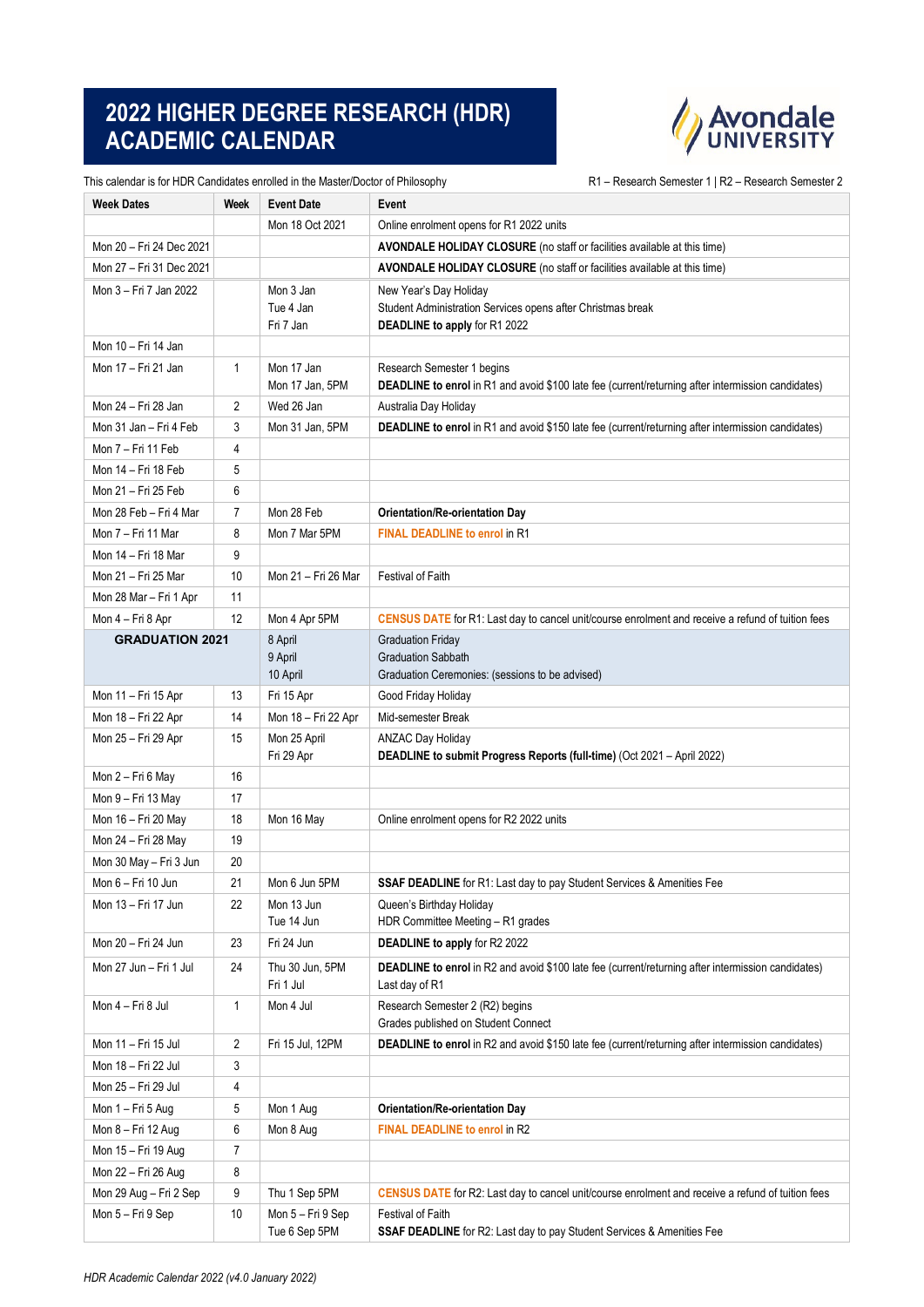## **2022 HIGHER DEGREE RESEARCH (HDR) ACADEMIC CALENDAR**



This calendar is for HDR Candidates enrolled in the Master/Doctor of Philosophy **R1** – Research Semester 1 | R2 – Research Semester 2

| <b>Week Dates</b>        | Week | <b>Event Date</b>                   | Event                                                                                                                            |
|--------------------------|------|-------------------------------------|----------------------------------------------------------------------------------------------------------------------------------|
|                          |      | Mon 18 Oct 2021                     | Online enrolment opens for R1 2022 units                                                                                         |
| Mon 20 - Fri 24 Dec 2021 |      |                                     | AVONDALE HOLIDAY CLOSURE (no staff or facilities available at this time)                                                         |
| Mon 27 - Fri 31 Dec 2021 |      |                                     | AVONDALE HOLIDAY CLOSURE (no staff or facilities available at this time)                                                         |
| Mon 3 – Fri 7 Jan 2022   |      | Mon 3 Jan<br>Tue 4 Jan<br>Fri 7 Jan | New Year's Day Holiday<br>Student Administration Services opens after Christmas break<br>DEADLINE to apply for R1 2022           |
| Mon 10 - Fri 14 Jan      |      |                                     |                                                                                                                                  |
| Mon 17 - Fri 21 Jan      | 1    | Mon 17 Jan<br>Mon 17 Jan, 5PM       | Research Semester 1 begins<br>DEADLINE to enrol in R1 and avoid \$100 late fee (current/returning after intermission candidates) |
| Mon 24 - Fri 28 Jan      | 2    | Wed 26 Jan                          | Australia Day Holiday                                                                                                            |
| Mon 31 Jan - Fri 4 Feb   | 3    | Mon 31 Jan, 5PM                     | <b>DEADLINE to enrol</b> in R1 and avoid \$150 late fee (current/returning after intermission candidates)                        |
| Mon 7 – Fri 11 Feb       | 4    |                                     |                                                                                                                                  |
| Mon 14 - Fri 18 Feb      | 5    |                                     |                                                                                                                                  |
| Mon 21 - Fri 25 Feb      | 6    |                                     |                                                                                                                                  |
| Mon 28 Feb - Fri 4 Mar   | 7    | Mon 28 Feb                          | Orientation/Re-orientation Day                                                                                                   |
| Mon 7 – Fri 11 Mar       | 8    | Mon 7 Mar 5PM                       | <b>FINAL DEADLINE to enrol in R1</b>                                                                                             |
| Mon 14 - Fri 18 Mar      | 9    |                                     |                                                                                                                                  |
| Mon 21 - Fri 25 Mar      | 10   | Mon 21 - Fri 26 Mar                 | <b>Festival of Faith</b>                                                                                                         |
| Mon 28 Mar – Fri 1 Apr   | 11   |                                     |                                                                                                                                  |
| Mon 4 – Fri 8 Apr        | 12   | Mon 4 Apr 5PM                       | CENSUS DATE for R1: Last day to cancel unit/course enrolment and receive a refund of tuition fees                                |
| <b>GRADUATION 2021</b>   |      | 8 April<br>9 April<br>10 April      | <b>Graduation Friday</b><br><b>Graduation Sabbath</b><br>Graduation Ceremonies: (sessions to be advised)                         |
| Mon 11 - Fri 15 Apr      | 13   | Fri 15 Apr                          | Good Friday Holiday                                                                                                              |
| Mon 18 – Fri 22 Apr      | 14   | Mon 18 - Fri 22 Apr                 | Mid-semester Break                                                                                                               |
| Mon 25 - Fri 29 Apr      | 15   | Mon 25 April<br>Fri 29 Apr          | ANZAC Day Holiday<br>DEADLINE to submit Progress Reports (full-time) (Oct 2021 - April 2022)                                     |
| Mon 2 - Fri 6 May        | 16   |                                     |                                                                                                                                  |
| Mon 9 – Fri 13 May       | 17   |                                     |                                                                                                                                  |
| Mon 16 - Fri 20 May      | 18   | Mon 16 May                          | Online enrolment opens for R2 2022 units                                                                                         |
| Mon 24 - Fri 28 May      | 19   |                                     |                                                                                                                                  |
| Mon 30 May - Fri 3 Jun   | 20   |                                     |                                                                                                                                  |
| Mon 6 – Fri 10 Jun       | 21   | Mon 6 Jun 5PM                       | SSAF DEADLINE for R1: Last day to pay Student Services & Amenities Fee                                                           |
| Mon 13 - Fri 17 Jun      | 22   | Mon 13 Jun<br>Tue 14 Jun            | Queen's Birthday Holiday<br>HDR Committee Meeting - R1 grades                                                                    |
| Mon 20 - Fri 24 Jun      | 23   | Fri 24 Jun                          | <b>DEADLINE to apply for R2 2022</b>                                                                                             |
| Mon 27 Jun - Fri 1 Jul   | 24   | Thu 30 Jun, 5PM<br>Fri 1 Jul        | <b>DEADLINE to enrol</b> in R2 and avoid \$100 late fee (current/returning after intermission candidates)<br>Last day of R1      |
| Mon 4 – Fri 8 Jul        | 1    | Mon 4 Jul                           | Research Semester 2 (R2) begins<br>Grades published on Student Connect                                                           |
| Mon 11 - Fri 15 Jul      | 2    | Fri 15 Jul, 12PM                    | <b>DEADLINE to enrol</b> in R2 and avoid \$150 late fee (current/returning after intermission candidates)                        |
| Mon 18 – Fri 22 Jul      | 3    |                                     |                                                                                                                                  |
| Mon 25 - Fri 29 Jul      | 4    |                                     |                                                                                                                                  |
| Mon 1 - Fri 5 Aug        | 5    | Mon 1 Aug                           | Orientation/Re-orientation Day                                                                                                   |
| Mon 8 - Fri 12 Aug       | 6    | Mon 8 Aug                           | FINAL DEADLINE to enrol in R2                                                                                                    |
| Mon 15 - Fri 19 Aug      | 7    |                                     |                                                                                                                                  |
| Mon 22 - Fri 26 Aug      | 8    |                                     |                                                                                                                                  |
| Mon 29 Aug - Fri 2 Sep   | 9    | Thu 1 Sep 5PM                       | <b>CENSUS DATE</b> for R2: Last day to cancel unit/course enrolment and receive a refund of tuition fees                         |
| Mon 5 - Fri 9 Sep        | 10   | Mon 5 - Fri 9 Sep<br>Tue 6 Sep 5PM  | Festival of Faith<br>SSAF DEADLINE for R2: Last day to pay Student Services & Amenities Fee                                      |